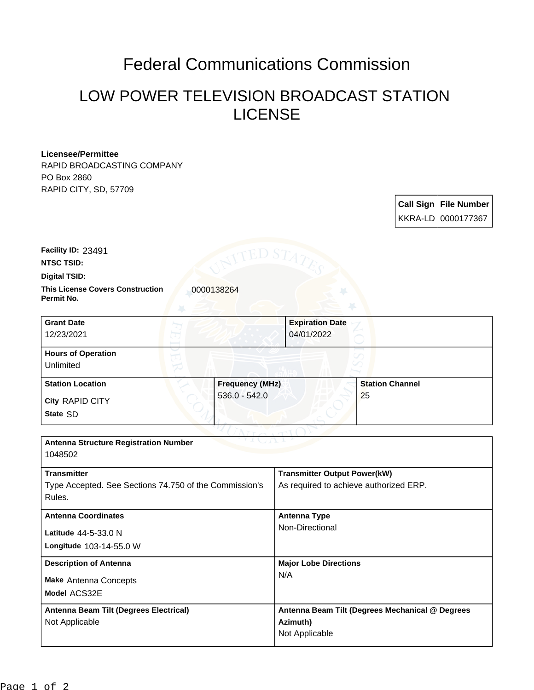## Federal Communications Commission

## LOW POWER TELEVISION BROADCAST STATION LICENSE

## **Licensee/Permittee**

RAPID BROADCASTING COMPANY PO Box 2860 RAPID CITY, SD, 57709

> **Call Sign File Number** KKRA-LD 0000177367

**Facility ID:** 23491

**NTSC TSID:**

**Digital TSID:**

**This License Covers Construction**  0000138264 **Permit No.**

**State** SD **City** RAPID CITY **Grant Date** 12/23/2021 **Expiration Date** 04/01/2022 **Hours of Operation** Unlimited **Station Location Figure 1.1 Construction Frequency (MHz)** 536.0 - 542.0 **Station Channel** 25

| <b>Antenna Structure Registration Number</b><br>1048502 |                                                 |  |
|---------------------------------------------------------|-------------------------------------------------|--|
|                                                         |                                                 |  |
| <b>Transmitter</b>                                      | <b>Transmitter Output Power(kW)</b>             |  |
| Type Accepted. See Sections 74.750 of the Commission's  | As required to achieve authorized ERP.          |  |
| Rules.                                                  |                                                 |  |
| <b>Antenna Coordinates</b>                              | Antenna Type                                    |  |
| Latitude $44-5-33.0$ N                                  | Non-Directional                                 |  |
| Longitude 103-14-55.0 W                                 |                                                 |  |
| <b>Description of Antenna</b>                           | <b>Major Lobe Directions</b>                    |  |
| <b>Make Antenna Concepts</b>                            | N/A                                             |  |
| Model ACS32E                                            |                                                 |  |
| Antenna Beam Tilt (Degrees Electrical)                  | Antenna Beam Tilt (Degrees Mechanical @ Degrees |  |
| Not Applicable                                          | Azimuth)                                        |  |
|                                                         | Not Applicable                                  |  |